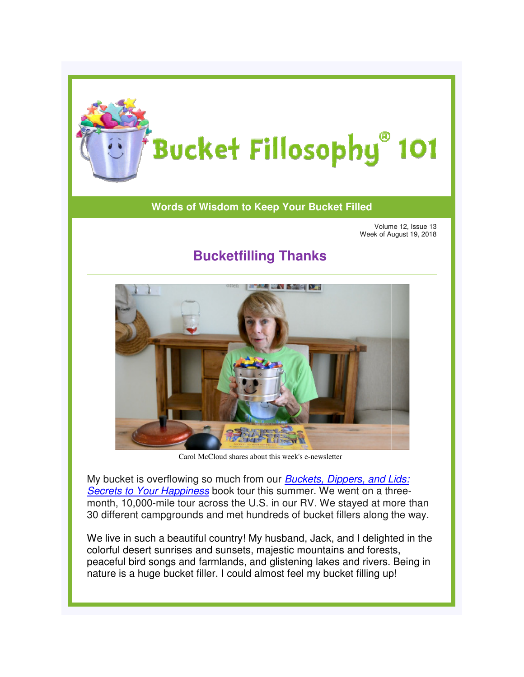

## **Words of Wisdom to Keep Your Bucket Filled**

Volume 12, Issue 13 Week of August 19, 2018 Volume Week 2018

## **Bucketfilling Thanks Bucketfilling**



CarolMcCloud shares about this week's e-newsletter

My bucket is overflowing so much from our **Buckets, Dippers, and Lids:** [Secrets to Your Happiness](http://www.bucketfillers101.com/buckets-dippers-lids.php) book tour this summer. We went on a threemonth, 10,000-mile tour across the U.S. in our RV. We stayed at more than 30 different campgrounds and met hundreds of bucket fillers along the way.

We live in such a beautiful country! My husband, Jack, and I delighted in the colorful desert sunrises and sunsets, majestic mountains and forests, peaceful bird songs and farmlands, and glistening lakes and rivers. Being in nature is a huge bucket filler. I could almost feel my bucket filling up! feel my bucket filling mile tour across the U.S. in our RV. We stayed at more than<br>npgrounds and met hundreds of bucket fillers along the way.<br>a beautiful country! My husband, Jack, and I delighted in the<br>sunrises and sunsets, majestic mountains